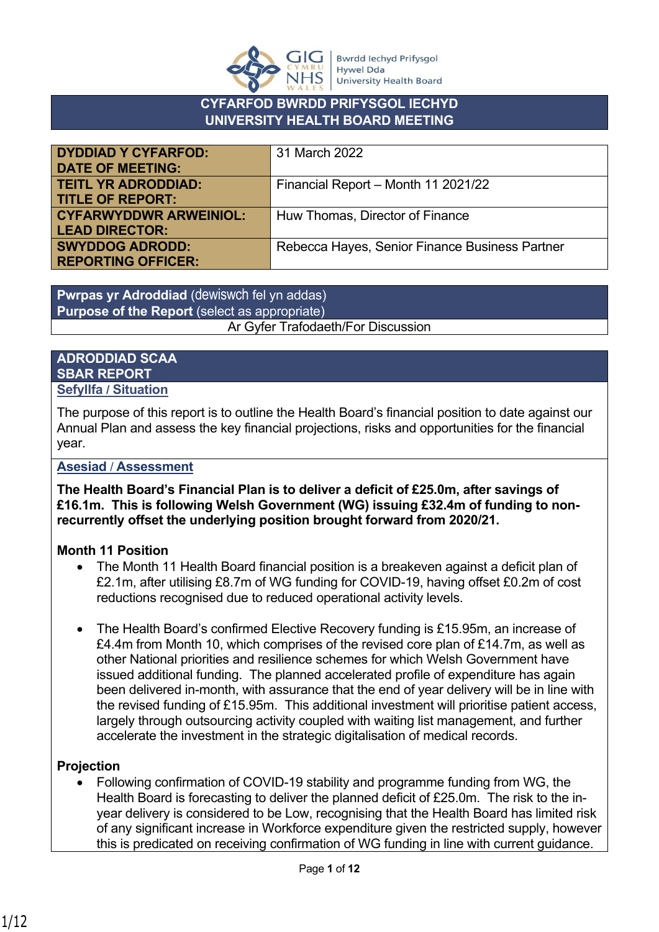

## **CYFARFOD BWRDD PRIFYSGOL IECHYD UNIVERSITY HEALTH BOARD MEETING**

| <b>DYDDIAD Y CYFARFOD:</b>    | 31 March 2022                                  |
|-------------------------------|------------------------------------------------|
| <b>DATE OF MEETING:</b>       |                                                |
| <b>TEITL YR ADRODDIAD:</b>    | Financial Report - Month 11 2021/22            |
| <b>TITLE OF REPORT:</b>       |                                                |
| <b>CYFARWYDDWR ARWEINIOL:</b> | Huw Thomas, Director of Finance                |
| <b>LEAD DIRECTOR:</b>         |                                                |
| <b>SWYDDOG ADRODD:</b>        | Rebecca Hayes, Senior Finance Business Partner |
| <b>REPORTING OFFICER:</b>     |                                                |

**Pwrpas yr Adroddiad** (dewiswch fel yn addas) **Purpose of the Report** (select as appropriate) Ar Gyfer Trafodaeth/For Discussion

### **ADRODDIAD SCAA SBAR REPORT Sefyllfa / Situation**

The purpose of this report is to outline the Health Board's financial position to date against our Annual Plan and assess the key financial projections, risks and opportunities for the financial year.

**Asesiad** / **Assessment**

**The Health Board's Financial Plan is to deliver a deficit of £25.0m, after savings of £16.1m. This is following Welsh Government (WG) issuing £32.4m of funding to nonrecurrently offset the underlying position brought forward from 2020/21.**

## **Month 11 Position**

- The Month 11 Health Board financial position is a breakeven against a deficit plan of £2.1m, after utilising £8.7m of WG funding for COVID-19, having offset £0.2m of cost reductions recognised due to reduced operational activity levels.
- The Health Board's confirmed Elective Recovery funding is £15.95m, an increase of £4.4m from Month 10, which comprises of the revised core plan of £14.7m, as well as other National priorities and resilience schemes for which Welsh Government have issued additional funding. The planned accelerated profile of expenditure has again been delivered in-month, with assurance that the end of year delivery will be in line with the revised funding of £15.95m. This additional investment will prioritise patient access, largely through outsourcing activity coupled with waiting list management, and further accelerate the investment in the strategic digitalisation of medical records.

## **Projection**

 Following confirmation of COVID-19 stability and programme funding from WG, the Health Board is forecasting to deliver the planned deficit of £25.0m. The risk to the inyear delivery is considered to be Low, recognising that the Health Board has limited risk of any significant increase in Workforce expenditure given the restricted supply, however this is predicated on receiving confirmation of WG funding in line with current guidance.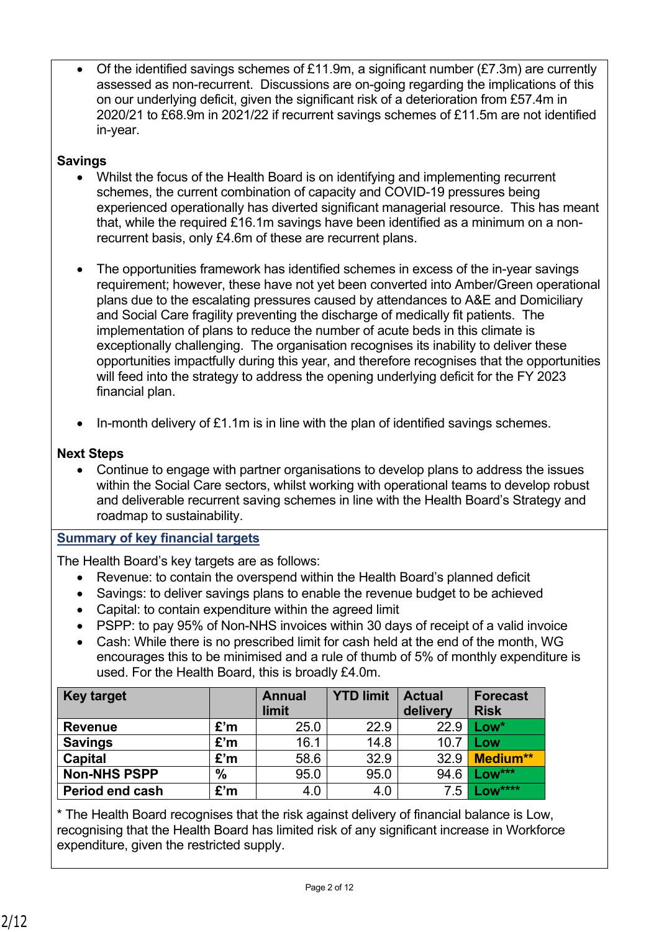Of the identified savings schemes of £11.9m, a significant number (£7.3m) are currently assessed as non-recurrent. Discussions are on-going regarding the implications of this on our underlying deficit, given the significant risk of a deterioration from £57.4m in 2020/21 to £68.9m in 2021/22 if recurrent savings schemes of £11.5m are not identified in-year.

## **Savings**

- Whilst the focus of the Health Board is on identifying and implementing recurrent schemes, the current combination of capacity and COVID-19 pressures being experienced operationally has diverted significant managerial resource. This has meant that, while the required £16.1m savings have been identified as a minimum on a nonrecurrent basis, only £4.6m of these are recurrent plans.
- The opportunities framework has identified schemes in excess of the in-year savings requirement; however, these have not yet been converted into Amber/Green operational plans due to the escalating pressures caused by attendances to A&E and Domiciliary and Social Care fragility preventing the discharge of medically fit patients. The implementation of plans to reduce the number of acute beds in this climate is exceptionally challenging. The organisation recognises its inability to deliver these opportunities impactfully during this year, and therefore recognises that the opportunities will feed into the strategy to address the opening underlying deficit for the FY 2023 financial plan.
- In-month delivery of £1.1m is in line with the plan of identified savings schemes.

## **Next Steps**

 Continue to engage with partner organisations to develop plans to address the issues within the Social Care sectors, whilst working with operational teams to develop robust and deliverable recurrent saving schemes in line with the Health Board's Strategy and roadmap to sustainability.

## **Summary of key financial targets**

The Health Board's key targets are as follows:

- Revenue: to contain the overspend within the Health Board's planned deficit
- Savings: to deliver savings plans to enable the revenue budget to be achieved
- Capital: to contain expenditure within the agreed limit
- PSPP: to pay 95% of Non-NHS invoices within 30 days of receipt of a valid invoice
- Cash: While there is no prescribed limit for cash held at the end of the month, WG encourages this to be minimised and a rule of thumb of 5% of monthly expenditure is used. For the Health Board, this is broadly £4.0m.

| <b>Key target</b>   |      | <b>Annual</b><br>limit | <b>YTD limit</b> | <b>Actual</b><br>delivery | <b>Forecast</b><br><b>Risk</b> |
|---------------------|------|------------------------|------------------|---------------------------|--------------------------------|
| <b>Revenue</b>      | £'m  | 25.0                   | 22.9             | 22.9                      | $Low*$                         |
| <b>Savings</b>      | £'m  | 16.1                   | 14.8             | 10.7                      | <b>Low</b>                     |
| <b>Capital</b>      | £'m  | 58.6                   | 32.9             | 32.9                      | <b>Medium**</b>                |
| <b>Non-NHS PSPP</b> | $\%$ | 95.0                   | 95.0             | 94.6                      | $Low***$                       |
| Period end cash     | £'m  | 4.0                    | 4.0              | 7.5                       | $.0W^{***}$                    |

\* The Health Board recognises that the risk against delivery of financial balance is Low, recognising that the Health Board has limited risk of any significant increase in Workforce expenditure, given the restricted supply.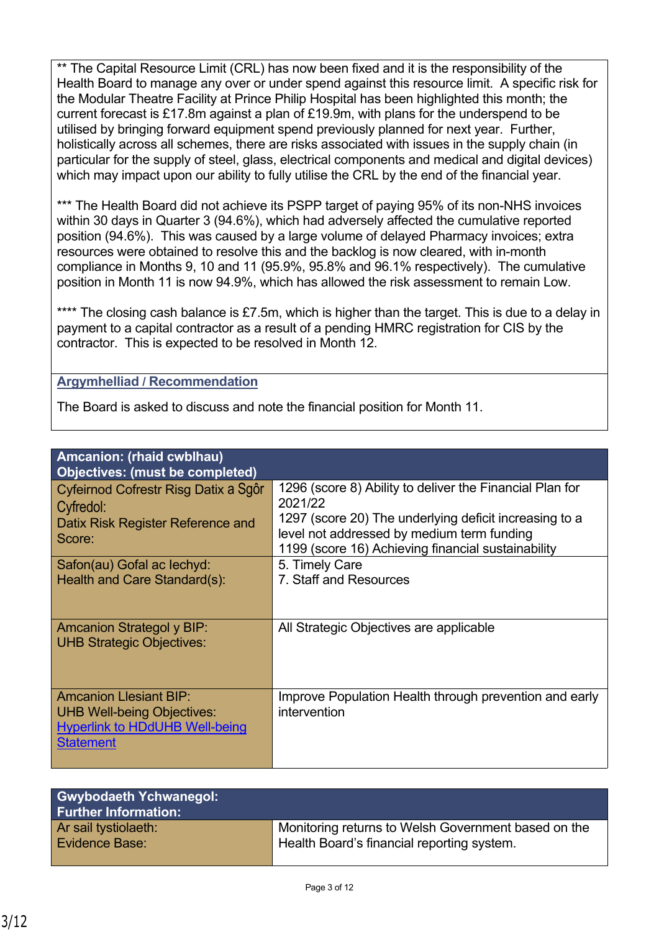\*\* The Capital Resource Limit (CRL) has now been fixed and it is the responsibility of the Health Board to manage any over or under spend against this resource limit. A specific risk for the Modular Theatre Facility at Prince Philip Hospital has been highlighted this month; the current forecast is £17.8m against a plan of £19.9m, with plans for the underspend to be utilised by bringing forward equipment spend previously planned for next year. Further, holistically across all schemes, there are risks associated with issues in the supply chain (in particular for the supply of steel, glass, electrical components and medical and digital devices) which may impact upon our ability to fully utilise the CRL by the end of the financial year.

\*\*\* The Health Board did not achieve its PSPP target of paying 95% of its non-NHS invoices within 30 days in Quarter 3 (94.6%), which had adversely affected the cumulative reported position (94.6%). This was caused by a large volume of delayed Pharmacy invoices; extra resources were obtained to resolve this and the backlog is now cleared, with in-month compliance in Months 9, 10 and 11 (95.9%, 95.8% and 96.1% respectively). The cumulative position in Month 11 is now 94.9%, which has allowed the risk assessment to remain Low.

\*\*\*\* The closing cash balance is £7.5m, which is higher than the target. This is due to a delay in payment to a capital contractor as a result of a pending HMRC registration for CIS by the contractor. This is expected to be resolved in Month 12.

## **Argymhelliad / Recommendation**

The Board is asked to discuss and note the financial position for Month 11.

| Amcanion: (rhaid cwblhau)                                                                                                       |                                                                                                                                                                                                                                   |
|---------------------------------------------------------------------------------------------------------------------------------|-----------------------------------------------------------------------------------------------------------------------------------------------------------------------------------------------------------------------------------|
| <b>Objectives: (must be completed)</b>                                                                                          |                                                                                                                                                                                                                                   |
| Cyfeirnod Cofrestr Risg Datix a Sgôr<br>Cyfredol:<br>Datix Risk Register Reference and<br>Score:                                | 1296 (score 8) Ability to deliver the Financial Plan for<br>2021/22<br>1297 (score 20) The underlying deficit increasing to a<br>level not addressed by medium term funding<br>1199 (score 16) Achieving financial sustainability |
| Safon(au) Gofal ac lechyd:                                                                                                      | 5. Timely Care                                                                                                                                                                                                                    |
| Health and Care Standard(s):                                                                                                    | 7. Staff and Resources                                                                                                                                                                                                            |
| <b>Amcanion Strategol y BIP:</b><br><b>UHB Strategic Objectives:</b>                                                            | All Strategic Objectives are applicable                                                                                                                                                                                           |
| <b>Amcanion Llesiant BIP:</b><br><b>UHB Well-being Objectives:</b><br><b>Hyperlink to HDdUHB Well-being</b><br><b>Statement</b> | Improve Population Health through prevention and early<br>intervention                                                                                                                                                            |

| <b>Gwybodaeth Ychwanegol:</b><br><b>Further Information:</b> |                                                     |
|--------------------------------------------------------------|-----------------------------------------------------|
| Ar sail tystiolaeth:                                         | Monitoring returns to Welsh Government based on the |
| <b>Evidence Base:</b>                                        | Health Board's financial reporting system.          |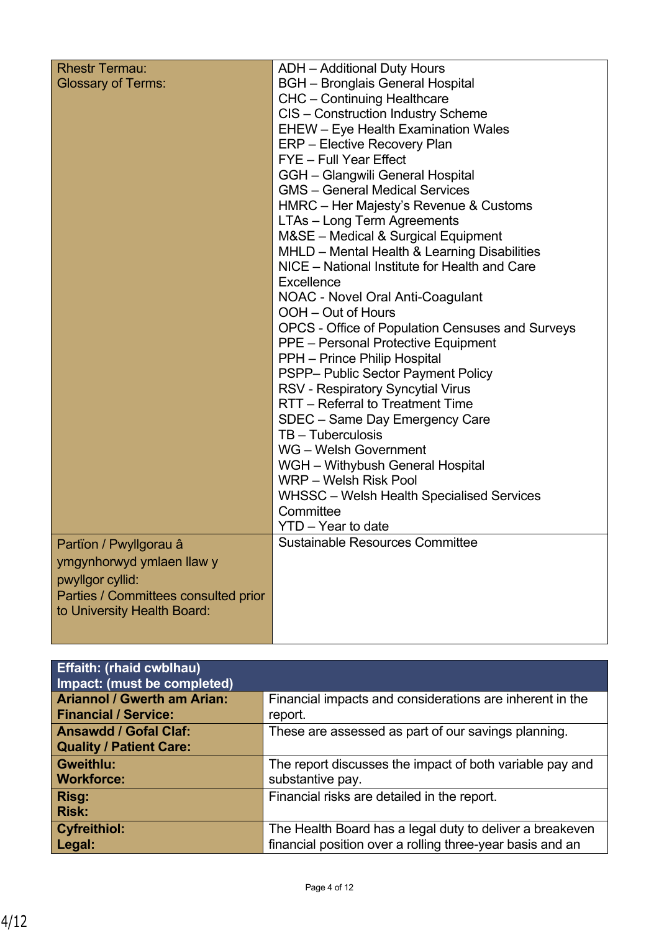| <b>Rhestr Termau:</b>                | <b>ADH</b> - Additional Duty Hours               |
|--------------------------------------|--------------------------------------------------|
| <b>Glossary of Terms:</b>            | <b>BGH</b> - Bronglais General Hospital          |
|                                      | <b>CHC</b> - Continuing Healthcare               |
|                                      | CIS - Construction Industry Scheme               |
|                                      | <b>EHEW</b> – Eye Health Examination Wales       |
|                                      | <b>ERP</b> – Elective Recovery Plan              |
|                                      | FYE - Full Year Effect                           |
|                                      | GGH - Glangwili General Hospital                 |
|                                      | <b>GMS</b> – General Medical Services            |
|                                      | HMRC - Her Majesty's Revenue & Customs           |
|                                      | LTAs - Long Term Agreements                      |
|                                      | M&SE - Medical & Surgical Equipment              |
|                                      | MHLD - Mental Health & Learning Disabilities     |
|                                      | NICE – National Institute for Health and Care    |
|                                      | Excellence                                       |
|                                      | <b>NOAC - Novel Oral Anti-Coagulant</b>          |
|                                      | OOH – Out of Hours                               |
|                                      | OPCS - Office of Population Censuses and Surveys |
|                                      | <b>PPE</b> – Personal Protective Equipment       |
|                                      | PPH - Prince Philip Hospital                     |
|                                      | PSPP- Public Sector Payment Policy               |
|                                      | <b>RSV - Respiratory Syncytial Virus</b>         |
|                                      | RTT - Referral to Treatment Time                 |
|                                      | SDEC - Same Day Emergency Care                   |
|                                      | TB - Tuberculosis                                |
|                                      | WG - Welsh Government                            |
|                                      | WGH - Withybush General Hospital                 |
|                                      | WRP – Welsh Risk Pool                            |
|                                      | <b>WHSSC</b> – Welsh Health Specialised Services |
|                                      | Committee                                        |
|                                      | YTD - Year to date                               |
| Partïon / Pwyllgorau â               | <b>Sustainable Resources Committee</b>           |
| ymgynhorwyd ymlaen llaw y            |                                                  |
| pwyllgor cyllid:                     |                                                  |
| Parties / Committees consulted prior |                                                  |
| to University Health Board:          |                                                  |
|                                      |                                                  |
|                                      |                                                  |

| <b>Effaith: (rhaid cwblhau)</b><br>Impact: (must be completed) |                                                           |
|----------------------------------------------------------------|-----------------------------------------------------------|
| <b>Ariannol / Gwerth am Arian:</b>                             | Financial impacts and considerations are inherent in the  |
| <b>Financial / Service:</b>                                    | report.                                                   |
| <b>Ansawdd / Gofal Claf:</b><br><b>Quality / Patient Care:</b> | These are assessed as part of our savings planning.       |
| Gweithlu:                                                      | The report discusses the impact of both variable pay and  |
| <b>Workforce:</b>                                              | substantive pay.                                          |
| Risg:<br><b>Risk:</b>                                          | Financial risks are detailed in the report.               |
| <b>Cyfreithiol:</b>                                            | The Health Board has a legal duty to deliver a breakeven  |
| Legal:                                                         | financial position over a rolling three-year basis and an |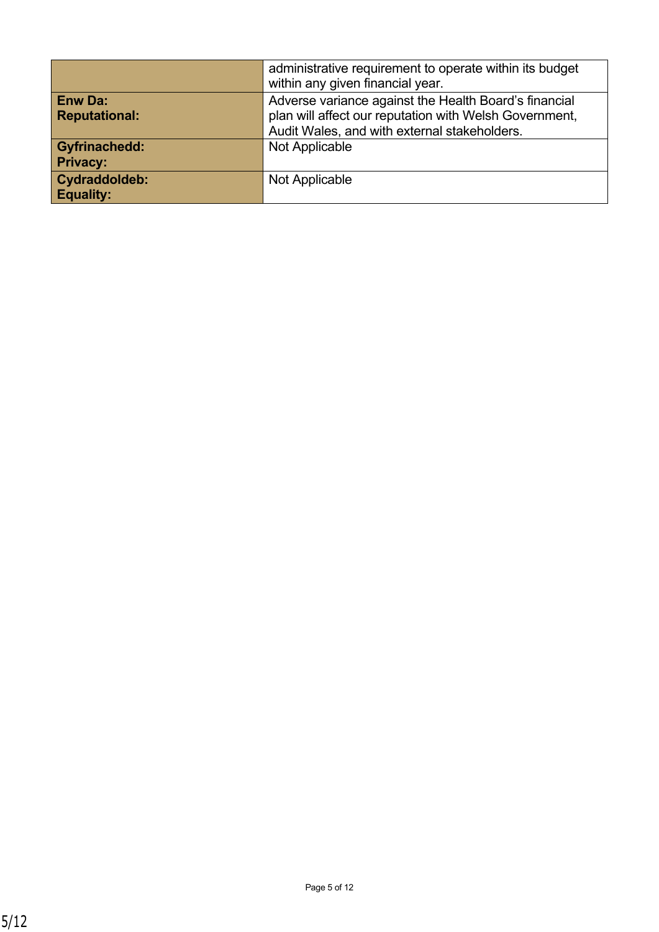|                      | administrative requirement to operate within its budget<br>within any given financial year. |
|----------------------|---------------------------------------------------------------------------------------------|
| <b>Enw Da:</b>       | Adverse variance against the Health Board's financial                                       |
| <b>Reputational:</b> | plan will affect our reputation with Welsh Government,                                      |
|                      | Audit Wales, and with external stakeholders.                                                |
| <b>Gyfrinachedd:</b> | Not Applicable                                                                              |
| <b>Privacy:</b>      |                                                                                             |
| Cydraddoldeb:        | Not Applicable                                                                              |
| <b>Equality:</b>     |                                                                                             |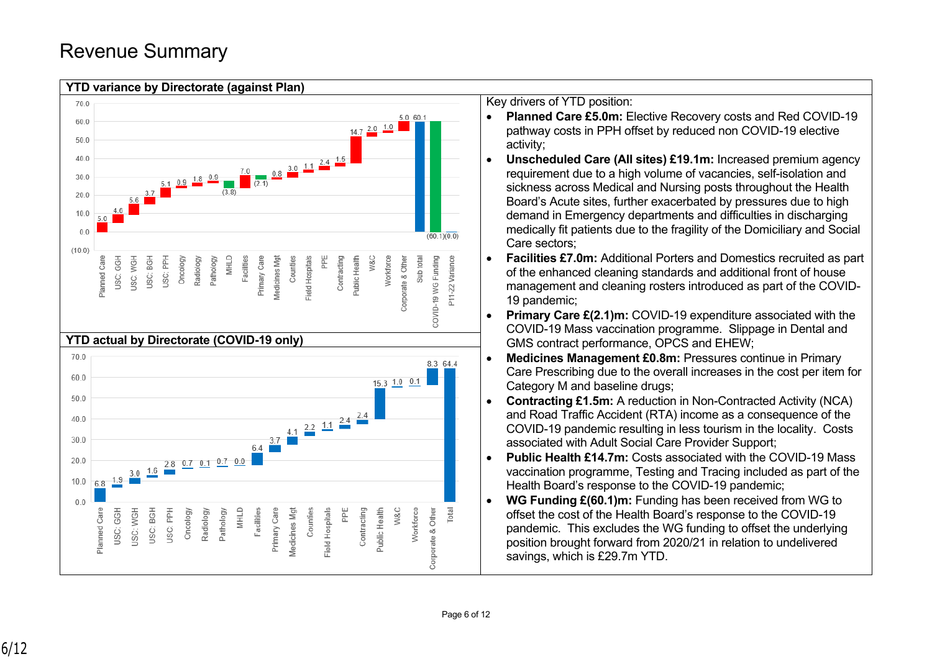# Revenue Summary



- **Planned Care £5.0m:** Elective Recovery costs and Red COVID-19 pathway costs in PPH offset by reduced non COVID-19 elective
- **Unscheduled Care (All sites) £19.1m:** Increased premium agency requirement due to a high volume of vacancies, self-isolation and sickness across Medical and Nursing posts throughout the Health Board's Acute sites, further exacerbated by pressures due to high demand in Emergency departments and difficulties in discharging medically fit patients due to the fragility of the Domiciliary and Social Care sectors;
- **Facilities £7.0m:** Additional Porters and Domestics recruited as part of the enhanced cleaning standards and additional front of house management and cleaning rosters introduced as part of the COVID-19 pandemic;
- **Primary Care £(2.1)m:** COVID-19 expenditure associated with the COVID-19 Mass vaccination programme. Slippage in Dental and GMS contract performance, OPCS and EHEW;
- **Medicines Management £0.8m:** Pressures continue in Primary Care Prescribing due to the overall increases in the cost per item for Category M and baseline drugs;
- **Contracting £1.5m:** A reduction in Non-Contracted Activity (NCA) and Road Traffic Accident (RTA) income as a consequence of the COVID-19 pandemic resulting in less tourism in the locality. Costs associated with Adult Social Care Provider Support;
- **Public Health £14.7m:** Costs associated with the COVID-19 Mass vaccination programme, Testing and Tracing included as part of the Health Board's response to the COVID-19 pandemic;
- **WG Funding £(60.1)m:** Funding has been received from WG to offset the cost of the Health Board's response to the COVID-19 pandemic. This excludes the WG funding to offset the underlying position brought forward from 2020/21 in relation to undelivered savings, which is £29.7m YTD.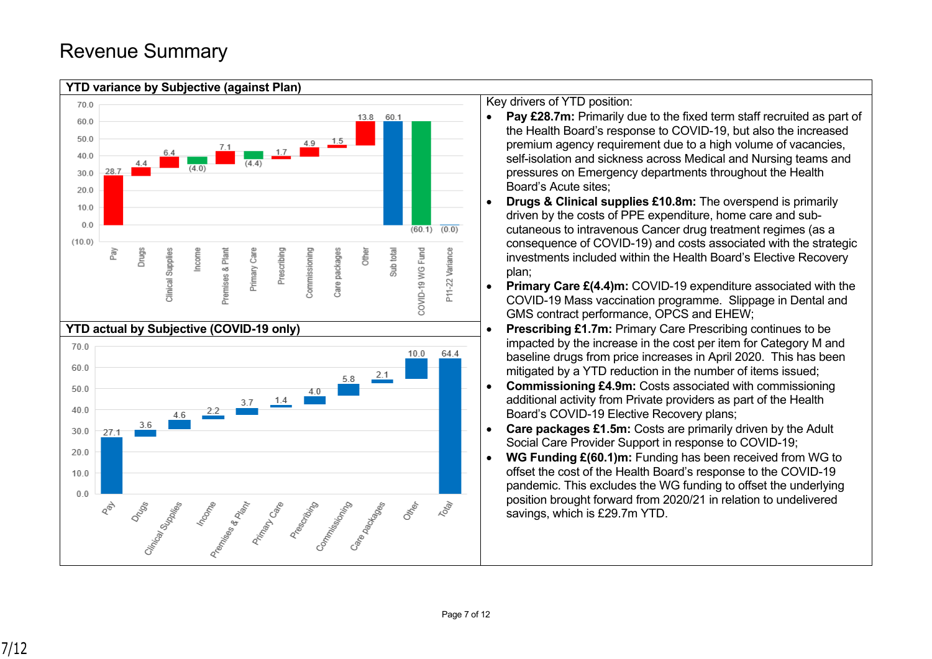# Revenue Summary



#### **YTD variance by Subjective (against Plan)**

Key drivers of YTD position:

- Pay £28.7m: Primarily due to the fixed term staff recruited as part of the Health Board's response to COVID-19, but also the increased premium agency requirement due to a high volume of vacancies, self-isolation and sickness across Medical and Nursing teams and pressures on Emergency departments throughout the Health Board's Acute sites;
- **Drugs & Clinical supplies £10.8m:** The overspend is primarily driven by the costs of PPE expenditure, home care and subcutaneous to intravenous Cancer drug treatment regimes (as a consequence of COVID-19) and costs associated with the strategic investments included within the Health Board's Elective Recovery plan;
- **Primary Care £(4.4)m:** COVID-19 expenditure associated with the COVID-19 Mass vaccination programme. Slippage in Dental and GMS contract performance, OPCS and EHEW;
- **Prescribing £1.7m:** Primary Care Prescribing continues to be impacted by the increase in the cost per item for Category M and baseline drugs from price increases in April 2020. This has been mitigated by a YTD reduction in the number of items issued;
- **Commissioning £4.9m:** Costs associated with commissioning additional activity from Private providers as part of the Health Board's COVID-19 Elective Recovery plans;
- **Care packages £1.5m:** Costs are primarily driven by the Adult Social Care Provider Support in response to COVID-19;
- **WG Funding £(60.1)m:** Funding has been received from WG to offset the cost of the Health Board's response to the COVID-19 pandemic. This excludes the WG funding to offset the underlying position brought forward from 2020/21 in relation to undelivered savings, which is £29.7m YTD.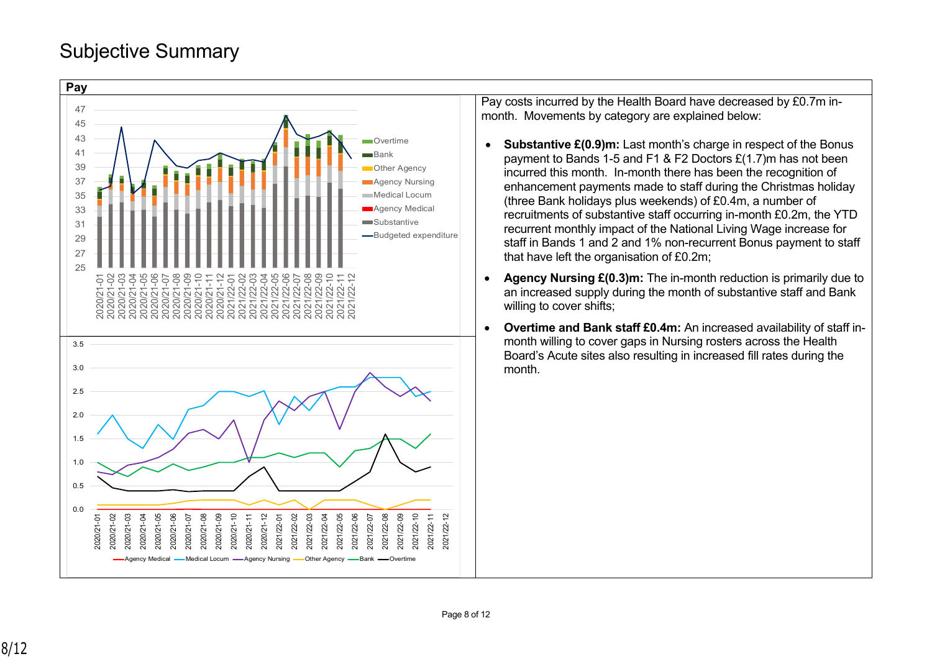## Subjective Summary



Pay costs incurred by the Health Board have decreased by £0.7m inmonth. Movements by category are explained below:

- **Substantive £(0.9)m:** Last month's charge in respect of the Bonus payment to Bands 1-5 and F1 & F2 Doctors £(1.7)m has not been incurred this month. In-month there has been the recognition of enhancement payments made to staff during the Christmas holiday (three Bank holidays plus weekends) of £0.4m, a number of recruitments of substantive staff occurring in-month £0.2m, the YTD recurrent monthly impact of the National Living Wage increase for staff in Bands 1 and 2 and 1% non-recurrent Bonus payment to staff that have left the organisation of £0.2m;
- **Agency Nursing £(0.3)m:** The in-month reduction is primarily due to an increased supply during the month of substantive staff and Bank willing to cover shifts;
- **Overtime and Bank staff £0.4m:** An increased availability of staff inmonth willing to cover gaps in Nursing rosters across the Health Board's Acute sites also resulting in increased fill rates during the month.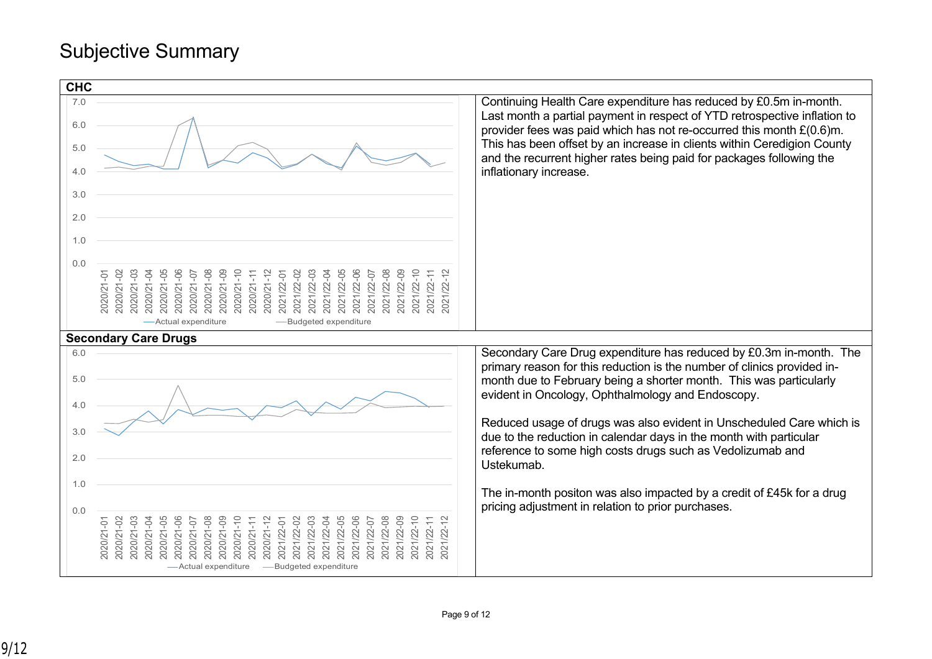# Subjective Summary

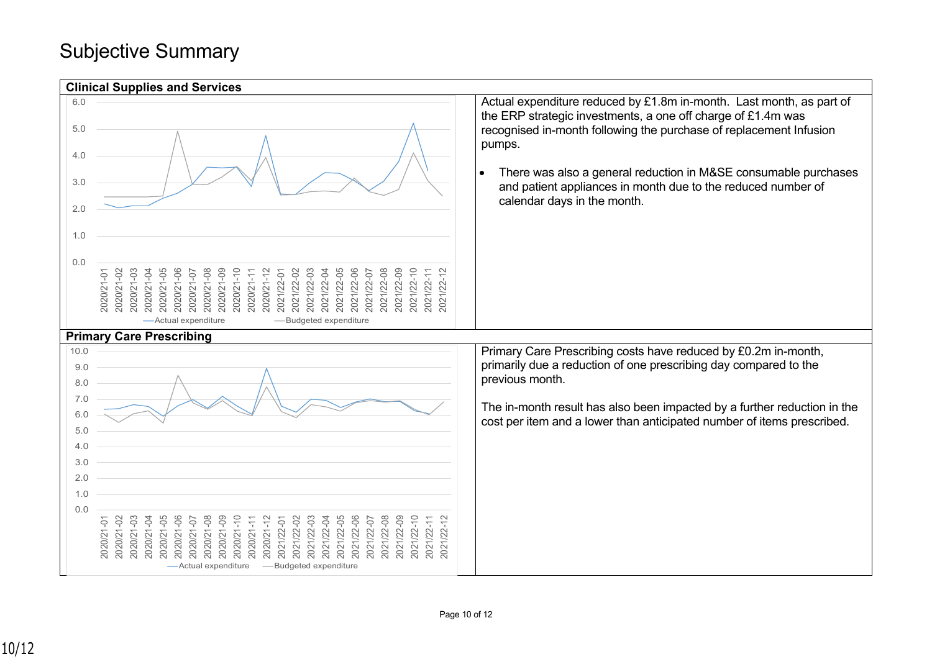## Subjective Summary

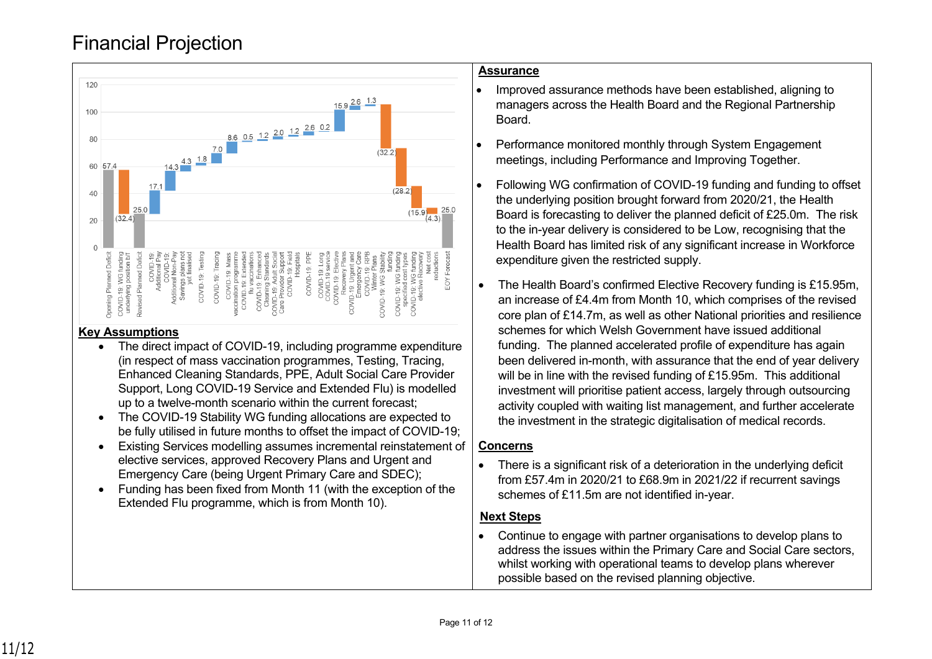# Financial Projection



#### **Key Assumptions**

- The direct impact of COVID-19, including programme expenditure (in respect of mass vaccination programmes, Testing, Tracing, Enhanced Cleaning Standards, PPE, Adult Social Care Provider Support, Long COVID-19 Service and Extended Flu) is modelled up to a twelve-month scenario within the current forecast;
- The COVID-19 Stability WG funding allocations are expected to be fully utilised in future months to offset the impact of COVID-19;
- Existing Services modelling assumes incremental reinstatement of elective services, approved Recovery Plans and Urgent and Emergency Care (being Urgent Primary Care and SDEC);
- Funding has been fixed from Month 11 (with the exception of the Extended Flu programme, which is from Month 10).

#### **Assurance**

- Improved assurance methods have been established, aligning to managers across the Health Board and the Regional Partnership Board.
- Performance monitored monthly through System Engagement meetings, including Performance and Improving Together.
- Following WG confirmation of COVID-19 funding and funding to offset the underlying position brought forward from 2020/21, the Health Board is forecasting to deliver the planned deficit of £25.0m. The risk to the in-year delivery is considered to be Low, recognising that the Health Board has limited risk of any significant increase in Workforce expenditure given the restricted supply.
- The Health Board's confirmed Elective Recovery funding is £15.95m, an increase of £4.4m from Month 10, which comprises of the revised core plan of £14.7m, as well as other National priorities and resilience schemes for which Welsh Government have issued additional funding. The planned accelerated profile of expenditure has again been delivered in-month, with assurance that the end of year delivery will be in line with the revised funding of £15.95m. This additional investment will prioritise patient access, largely through outsourcing activity coupled with waiting list management, and further accelerate the investment in the strategic digitalisation of medical records.

#### **Concerns**

• There is a significant risk of a deterioration in the underlying deficit from £57.4m in 2020/21 to £68.9m in 2021/22 if recurrent savings schemes of £11.5m are not identified in-year.

### **Next Steps**

 Continue to engage with partner organisations to develop plans to address the issues within the Primary Care and Social Care sectors, whilst working with operational teams to develop plans wherever possible based on the revised planning objective.